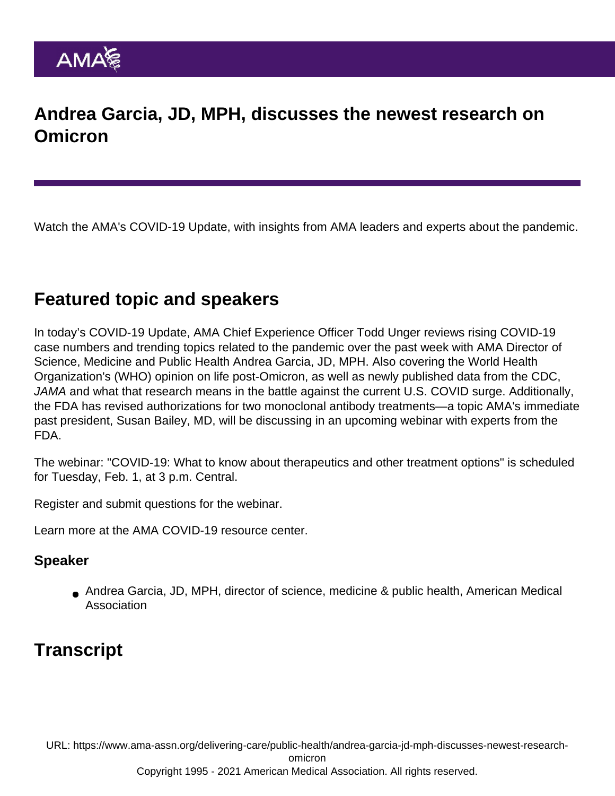## Andrea Garcia, JD, MPH, discusses the newest research on **Omicron**

Watch the AMA's COVID-19 Update, with insights from AMA leaders and experts about the pandemic.

## Featured topic and speakers

In today's COVID-19 Update, AMA Chief Experience Officer Todd Unger reviews rising COVID-19 case numbers and trending topics related to the pandemic over the past week with AMA Director of Science, Medicine and Public Health Andrea Garcia, JD, MPH. Also covering the World Health Organization's (WHO) opinion on life post-Omicron, as well as newly published data from the CDC, JAMA and what that research means in the battle against the current U.S. COVID surge. Additionally, the FDA has revised authorizations for two monoclonal antibody treatments—a topic AMA's immediate past president, Susan Bailey, MD, will be discussing in an upcoming webinar with experts from the FDA.

The webinar: "COVID-19: What to know about therapeutics and other treatment options" is scheduled for Tuesday, Feb. 1, at 3 p.m. Central.

[Register and submit questions](https://www.ama-assn.org/delivering-care/public-health/covid-19-what-physicians-need-know-webinar-series) for the webinar.

Learn more at the [AMA COVID-19 resource center](https://www.ama-assn.org/delivering-care/public-health/covid-19-2019-novel-coronavirus-resource-center-physicians).

## Speaker

Andrea Garcia, JD, MPH, director of science, medicine & public health, American Medical Association

## **Transcript**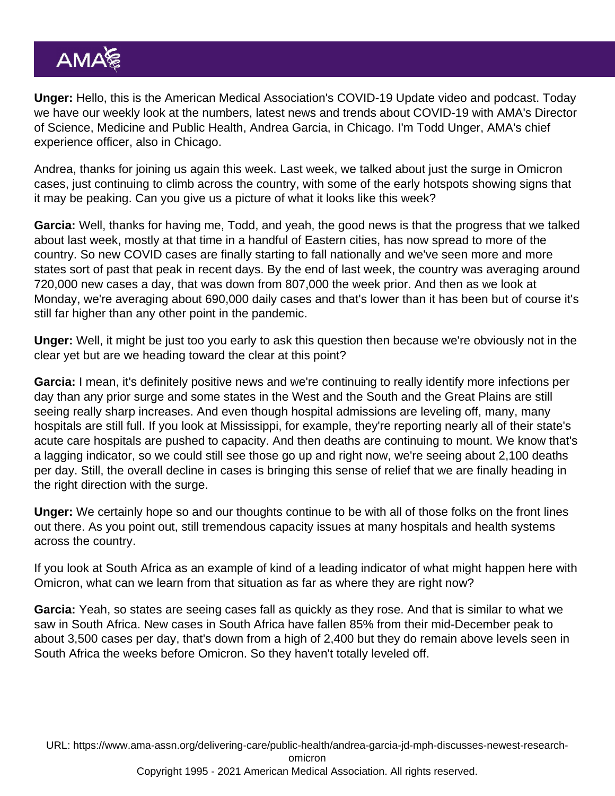Unger: Hello, this is the American Medical Association's COVID-19 Update video and podcast. Today we have our weekly look at the numbers, latest news and trends about COVID-19 with AMA's Director of Science, Medicine and Public Health, Andrea Garcia, in Chicago. I'm Todd Unger, AMA's chief experience officer, also in Chicago.

Andrea, thanks for joining us again this week. Last week, we talked about just the surge in Omicron cases, just continuing to climb across the country, with some of the early hotspots showing signs that it may be peaking. Can you give us a picture of what it looks like this week?

Garcia: Well, thanks for having me, Todd, and yeah, the good news is that the progress that we talked about last week, mostly at that time in a handful of Eastern cities, has now spread to more of the country. So new COVID cases are finally starting to fall nationally and we've seen more and more states sort of past that peak in recent days. By the end of last week, the country was averaging around 720,000 new cases a day, that was down from 807,000 the week prior. And then as we look at Monday, we're averaging about 690,000 daily cases and that's lower than it has been but of course it's still far higher than any other point in the pandemic.

Unger: Well, it might be just too you early to ask this question then because we're obviously not in the clear yet but are we heading toward the clear at this point?

Garcia: I mean, it's definitely positive news and we're continuing to really identify more infections per day than any prior surge and some states in the West and the South and the Great Plains are still seeing really sharp increases. And even though hospital admissions are leveling off, many, many hospitals are still full. If you look at Mississippi, for example, they're reporting nearly all of their state's acute care hospitals are pushed to capacity. And then deaths are continuing to mount. We know that's a lagging indicator, so we could still see those go up and right now, we're seeing about 2,100 deaths per day. Still, the overall decline in cases is bringing this sense of relief that we are finally heading in the right direction with the surge.

Unger: We certainly hope so and our thoughts continue to be with all of those folks on the front lines out there. As you point out, still tremendous capacity issues at many hospitals and health systems across the country.

If you look at South Africa as an example of kind of a leading indicator of what might happen here with Omicron, what can we learn from that situation as far as where they are right now?

Garcia: Yeah, so states are seeing cases fall as quickly as they rose. And that is similar to what we saw in South Africa. New cases in South Africa have fallen 85% from their mid-December peak to about 3,500 cases per day, that's down from a high of 2,400 but they do remain above levels seen in South Africa the weeks before Omicron. So they haven't totally leveled off.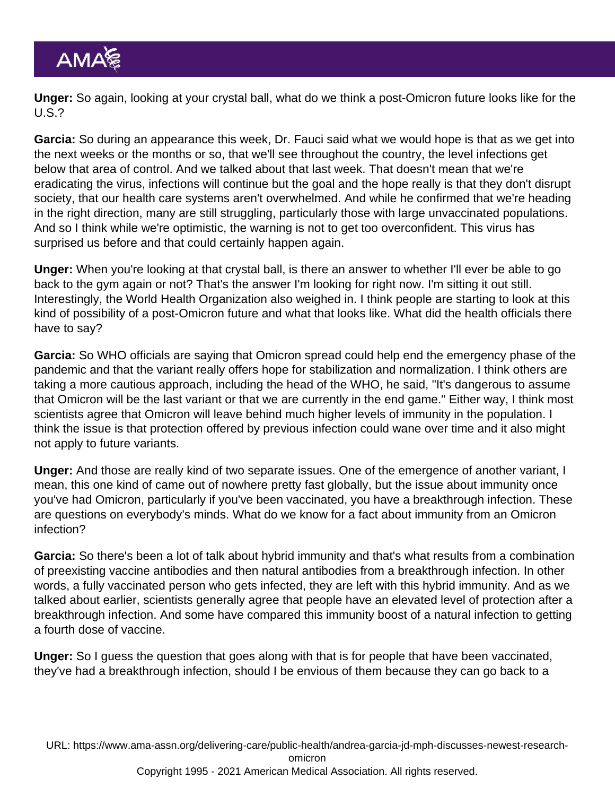Unger: So again, looking at your crystal ball, what do we think a post-Omicron future looks like for the U.S.?

Garcia: So during an appearance this week, Dr. Fauci said what we would hope is that as we get into the next weeks or the months or so, that we'll see throughout the country, the level infections get below that area of control. And we talked about that last week. That doesn't mean that we're eradicating the virus, infections will continue but the goal and the hope really is that they don't disrupt society, that our health care systems aren't overwhelmed. And while he confirmed that we're heading in the right direction, many are still struggling, particularly those with large unvaccinated populations. And so I think while we're optimistic, the warning is not to get too overconfident. This virus has surprised us before and that could certainly happen again.

Unger: When you're looking at that crystal ball, is there an answer to whether I'll ever be able to go back to the gym again or not? That's the answer I'm looking for right now. I'm sitting it out still. Interestingly, the World Health Organization also weighed in. I think people are starting to look at this kind of possibility of a post-Omicron future and what that looks like. What did the health officials there have to say?

Garcia: So WHO officials are saying that Omicron spread could help end the emergency phase of the pandemic and that the variant really offers hope for stabilization and normalization. I think others are taking a more cautious approach, including the head of the WHO, he said, "It's dangerous to assume that Omicron will be the last variant or that we are currently in the end game." Either way, I think most scientists agree that Omicron will leave behind much higher levels of immunity in the population. I think the issue is that protection offered by previous infection could wane over time and it also might not apply to future variants.

Unger: And those are really kind of two separate issues. One of the emergence of another variant, I mean, this one kind of came out of nowhere pretty fast globally, but the issue about immunity once you've had Omicron, particularly if you've been vaccinated, you have a breakthrough infection. These are questions on everybody's minds. What do we know for a fact about immunity from an Omicron infection?

Garcia: So there's been a lot of talk about hybrid immunity and that's what results from a combination of preexisting vaccine antibodies and then natural antibodies from a breakthrough infection. In other words, a fully vaccinated person who gets infected, they are left with this hybrid immunity. And as we talked about earlier, scientists generally agree that people have an elevated level of protection after a breakthrough infection. And some have compared this immunity boost of a natural infection to getting a fourth dose of vaccine.

Unger: So I guess the question that goes along with that is for people that have been vaccinated, they've had a breakthrough infection, should I be envious of them because they can go back to a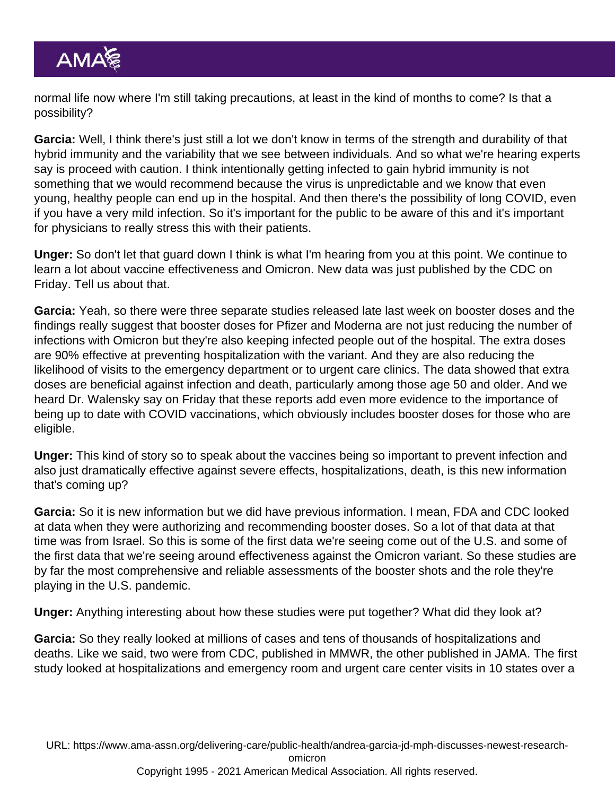normal life now where I'm still taking precautions, at least in the kind of months to come? Is that a possibility?

Garcia: Well, I think there's just still a lot we don't know in terms of the strength and durability of that hybrid immunity and the variability that we see between individuals. And so what we're hearing experts say is proceed with caution. I think intentionally getting infected to gain hybrid immunity is not something that we would recommend because the virus is unpredictable and we know that even young, healthy people can end up in the hospital. And then there's the possibility of long COVID, even if you have a very mild infection. So it's important for the public to be aware of this and it's important for physicians to really stress this with their patients.

Unger: So don't let that guard down I think is what I'm hearing from you at this point. We continue to learn a lot about vaccine effectiveness and Omicron. New data was just published by the CDC on Friday. Tell us about that.

Garcia: Yeah, so there were three separate studies released late last week on booster doses and the findings really suggest that booster doses for Pfizer and Moderna are not just reducing the number of infections with Omicron but they're also keeping infected people out of the hospital. The extra doses are 90% effective at preventing hospitalization with the variant. And they are also reducing the likelihood of visits to the emergency department or to urgent care clinics. The data showed that extra doses are beneficial against infection and death, particularly among those age 50 and older. And we heard Dr. Walensky say on Friday that these reports add even more evidence to the importance of being up to date with COVID vaccinations, which obviously includes booster doses for those who are eligible.

Unger: This kind of story so to speak about the vaccines being so important to prevent infection and also just dramatically effective against severe effects, hospitalizations, death, is this new information that's coming up?

Garcia: So it is new information but we did have previous information. I mean, FDA and CDC looked at data when they were authorizing and recommending booster doses. So a lot of that data at that time was from Israel. So this is some of the first data we're seeing come out of the U.S. and some of the first data that we're seeing around effectiveness against the Omicron variant. So these studies are by far the most comprehensive and reliable assessments of the booster shots and the role they're playing in the U.S. pandemic.

Unger: Anything interesting about how these studies were put together? What did they look at?

Garcia: So they really looked at millions of cases and tens of thousands of hospitalizations and deaths. Like we said, two were from CDC, published in MMWR, the other published in JAMA. The first study looked at hospitalizations and emergency room and urgent care center visits in 10 states over a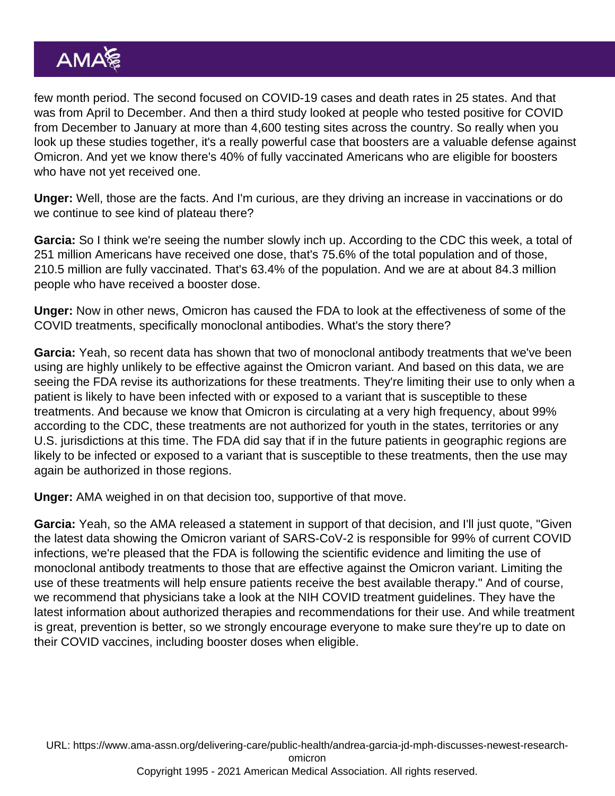few month period. The second focused on COVID-19 cases and death rates in 25 states. And that was from April to December. And then a third study looked at people who tested positive for COVID from December to January at more than 4,600 testing sites across the country. So really when you look up these studies together, it's a really powerful case that boosters are a valuable defense against Omicron. And yet we know there's 40% of fully vaccinated Americans who are eligible for boosters who have not yet received one.

Unger: Well, those are the facts. And I'm curious, are they driving an increase in vaccinations or do we continue to see kind of plateau there?

Garcia: So I think we're seeing the number slowly inch up. According to the CDC this week, a total of 251 million Americans have received one dose, that's 75.6% of the total population and of those, 210.5 million are fully vaccinated. That's 63.4% of the population. And we are at about 84.3 million people who have received a booster dose.

Unger: Now in other news, Omicron has caused the FDA to look at the effectiveness of some of the COVID treatments, specifically monoclonal antibodies. What's the story there?

Garcia: Yeah, so recent data has shown that two of monoclonal antibody treatments that we've been using are highly unlikely to be effective against the Omicron variant. And based on this data, we are seeing the FDA revise its authorizations for these treatments. They're limiting their use to only when a patient is likely to have been infected with or exposed to a variant that is susceptible to these treatments. And because we know that Omicron is circulating at a very high frequency, about 99% according to the CDC, these treatments are not authorized for youth in the states, territories or any U.S. jurisdictions at this time. The FDA did say that if in the future patients in geographic regions are likely to be infected or exposed to a variant that is susceptible to these treatments, then the use may again be authorized in those regions.

Unger: AMA weighed in on that decision too, supportive of that move.

Garcia: Yeah, so the AMA released a statement in support of that decision, and I'll just quote, "Given the latest data showing the Omicron variant of SARS-CoV-2 is responsible for 99% of current COVID infections, we're pleased that the FDA is following the scientific evidence and limiting the use of monoclonal antibody treatments to those that are effective against the Omicron variant. Limiting the use of these treatments will help ensure patients receive the best available therapy." And of course, we recommend that physicians take a look at the NIH COVID treatment guidelines. They have the latest information about authorized therapies and recommendations for their use. And while treatment is great, prevention is better, so we strongly encourage everyone to make sure they're up to date on their COVID vaccines, including booster doses when eligible.